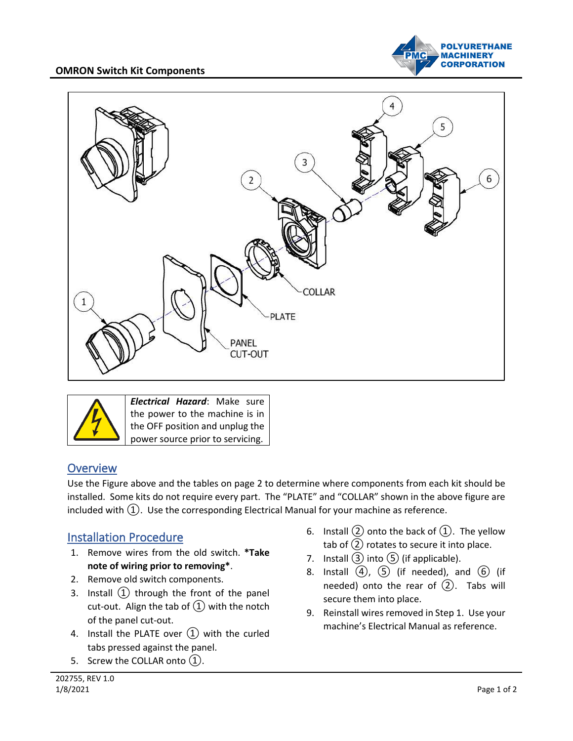#### **OMRON Switch Kit Components**







## **Overview**

Use the Figure above and the tables on page 2 to determine where components from each kit should be installed. Some kits do not require every part. The "PLATE" and "COLLAR" shown in the above figure are included with  $(1)$ . Use the corresponding Electrical Manual for your machine as reference.

# Installation Procedure

- 1. Remove wires from the old switch. **\*Take note of wiring prior to removing\***.
- 2. Remove old switch components.
- 3. Install  $(1)$  through the front of the panel cut-out. Align the tab of  $(1)$  with the notch of the panel cut-out.
- 4. Install the PLATE over  $(1)$  with the curled tabs pressed against the panel.
- 5. Screw the COLLAR onto (1).
- 6. Install  $(2)$  onto the back of  $(1)$ . The yellow tab of  $(2)$  rotates to secure it into place.
- 7. Install  $(3)$  into  $(5)$  (if applicable).
- 8. Install  $\overline{(4)}$ ,  $\overline{(5)}$  (if needed), and  $\overline{(6)}$  (if needed) onto the rear of  $(2)$ . Tabs will secure them into place.
- 9. Reinstall wires removed in Step 1. Use your machine's Electrical Manual as reference.